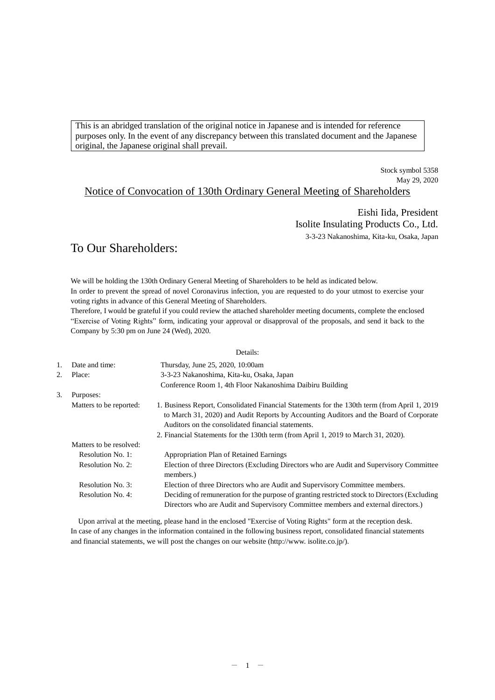This is an abridged translation of the original notice in Japanese and is intended for reference purposes only. In the event of any discrepancy between this translated document and the Japanese original, the Japanese original shall prevail.

> Stock symbol 5358 May 29, 2020

# Notice of Convocation of 130th Ordinary General Meeting of Shareholders

Eishi Iida, President Isolite Insulating Products Co., Ltd. 3-3-23 Nakanoshima, Kita-ku, Osaka, Japan

# To Our Shareholders:

We will be holding the 130th Ordinary General Meeting of Shareholders to be held as indicated below. In order to prevent the spread of novel Coronavirus infection, you are requested to do your utmost to exercise your voting rights in advance of this General Meeting of Shareholders.

Therefore, I would be grateful if you could review the attached shareholder meeting documents, complete the enclosed "Exercise of Voting Rights" form, indicating your approval or disapproval of the proposals, and send it back to the Company by 5:30 pm on June 24 (Wed), 2020.

### Details:

| 1. | Date and time:          | Thursday, June 25, 2020, 10:00am                                                                                                                                                                                                              |
|----|-------------------------|-----------------------------------------------------------------------------------------------------------------------------------------------------------------------------------------------------------------------------------------------|
| 2. | Place:                  | 3-3-23 Nakanoshima, Kita-ku, Osaka, Japan                                                                                                                                                                                                     |
|    |                         | Conference Room 1, 4th Floor Nakanoshima Daibiru Building                                                                                                                                                                                     |
| 3. | Purposes:               |                                                                                                                                                                                                                                               |
|    | Matters to be reported: | 1. Business Report, Consolidated Financial Statements for the 130th term (from April 1, 2019)<br>to March 31, 2020) and Audit Reports by Accounting Auditors and the Board of Corporate<br>Auditors on the consolidated financial statements. |
|    |                         | 2. Financial Statements for the 130th term (from April 1, 2019 to March 31, 2020).                                                                                                                                                            |
|    | Matters to be resolved: |                                                                                                                                                                                                                                               |
|    | Resolution No. 1:       | Appropriation Plan of Retained Earnings                                                                                                                                                                                                       |
|    | Resolution No. 2:       | Election of three Directors (Excluding Directors who are Audit and Supervisory Committee<br>members.)                                                                                                                                         |
|    | Resolution No. 3:       | Election of three Directors who are Audit and Supervisory Committee members.                                                                                                                                                                  |
|    | Resolution No. 4:       | Deciding of remuneration for the purpose of granting restricted stock to Directors (Excluding                                                                                                                                                 |
|    |                         | Directors who are Audit and Supervisory Committee members and external directors.)                                                                                                                                                            |

Upon arrival at the meeting, please hand in the enclosed "Exercise of Voting Rights" form at the reception desk. In case of any changes in the information contained in the following business report, consolidated financial statements and financial statements, we will post the changes on our website (http://www. isolite.co.jp/).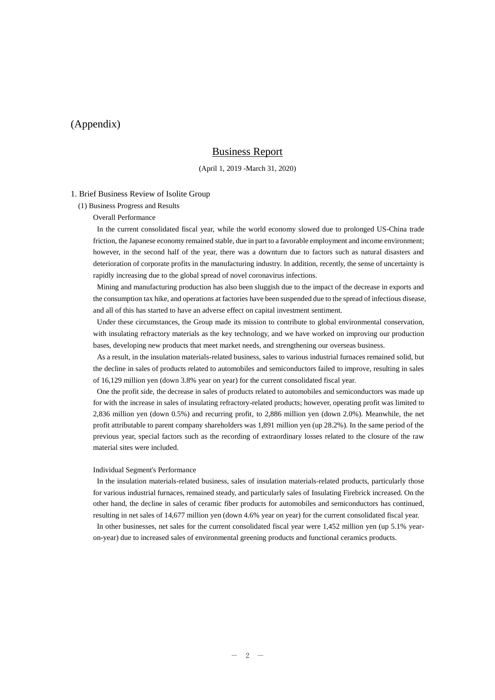# (Appendix)

# Business Report

#### (April 1, 2019 -March 31, 2020)

#### 1. Brief Business Review of Isolite Group

(1) Business Progress and Results

Overall Performance

In the current consolidated fiscal year, while the world economy slowed due to prolonged US-China trade friction, the Japanese economy remained stable, due in part to a favorable employment and income environment; however, in the second half of the year, there was a downturn due to factors such as natural disasters and deterioration of corporate profits in the manufacturing industry. In addition, recently, the sense of uncertainty is rapidly increasing due to the global spread of novel coronavirus infections.

Mining and manufacturing production has also been sluggish due to the impact of the decrease in exports and the consumption tax hike, and operations at factories have been suspended due to the spread of infectious disease, and all of this has started to have an adverse effect on capital investment sentiment.

Under these circumstances, the Group made its mission to contribute to global environmental conservation, with insulating refractory materials as the key technology, and we have worked on improving our production bases, developing new products that meet market needs, and strengthening our overseas business.

As a result, in the insulation materials-related business, sales to various industrial furnaces remained solid, but the decline in sales of products related to automobiles and semiconductors failed to improve, resulting in sales of 16,129 million yen (down 3.8% year on year) for the current consolidated fiscal year.

One the profit side, the decrease in sales of products related to automobiles and semiconductors was made up for with the increase in sales of insulating refractory-related products; however, operating profit was limited to 2,836 million yen (down 0.5%) and recurring profit, to 2,886 million yen (down 2.0%). Meanwhile, the net profit attributable to parent company shareholders was 1,891 million yen (up 28.2%). In the same period of the previous year, special factors such as the recording of extraordinary losses related to the closure of the raw material sites were included.

#### Individual Segment's Performance

In the insulation materials-related business, sales of insulation materials-related products, particularly those for various industrial furnaces, remained steady, and particularly sales of Insulating Firebrick increased. On the other hand, the decline in sales of ceramic fiber products for automobiles and semiconductors has continued, resulting in net sales of 14,677 million yen (down 4.6% year on year) for the current consolidated fiscal year.

In other businesses, net sales for the current consolidated fiscal year were 1,452 million yen (up 5.1% yearon-year) due to increased sales of environmental greening products and functional ceramics products.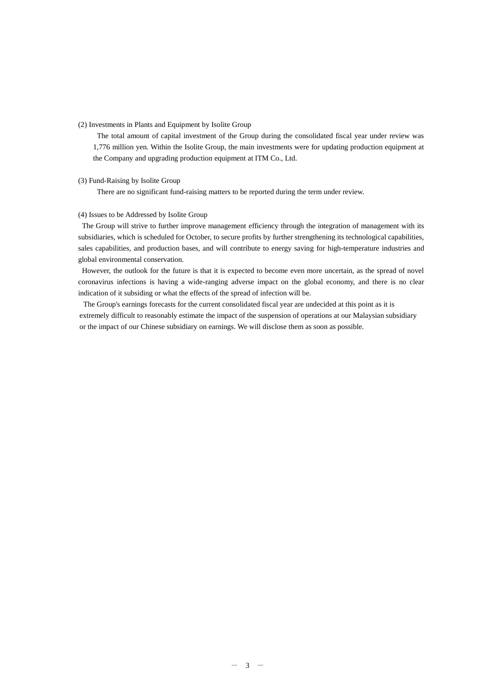#### (2) Investments in Plants and Equipment by Isolite Group

The total amount of capital investment of the Group during the consolidated fiscal year under review was 1,776 million yen. Within the Isolite Group, the main investments were for updating production equipment at the Company and upgrading production equipment at ITM Co., Ltd.

#### (3) Fund-Raising by Isolite Group

There are no significant fund-raising matters to be reported during the term under review.

#### (4) Issues to be Addressed by Isolite Group

The Group will strive to further improve management efficiency through the integration of management with its subsidiaries, which is scheduled for October, to secure profits by further strengthening its technological capabilities, sales capabilities, and production bases, and will contribute to energy saving for high-temperature industries and global environmental conservation.

However, the outlook for the future is that it is expected to become even more uncertain, as the spread of novel coronavirus infections is having a wide-ranging adverse impact on the global economy, and there is no clear indication of it subsiding or what the effects of the spread of infection will be.

The Group's earnings forecasts for the current consolidated fiscal year are undecided at this point as it is extremely difficult to reasonably estimate the impact of the suspension of operations at our Malaysian subsidiary or the impact of our Chinese subsidiary on earnings. We will disclose them as soon as possible.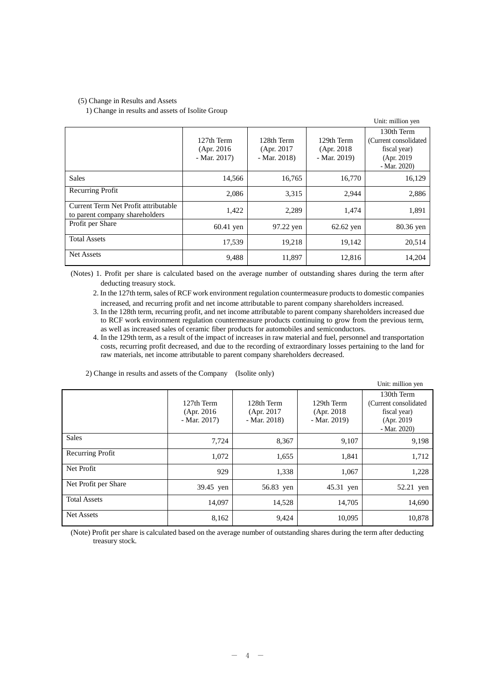#### (5) Change in Results and Assets

#### 1) Change in results and assets of Isolite Group

|                                                                        |                                           |                                           |                                           | Unit: million yen                                                                   |
|------------------------------------------------------------------------|-------------------------------------------|-------------------------------------------|-------------------------------------------|-------------------------------------------------------------------------------------|
|                                                                        | 127th Term<br>(Apr. 2016)<br>$-Mar. 2017$ | 128th Term<br>(Apr. 2017)<br>$-Mar. 2018$ | 129th Term<br>(Apr. 2018)<br>$-Mar. 2019$ | 130th Term<br>(Current consolidated)<br>fiscal year)<br>(Apr. 2019)<br>$-Mar. 2020$ |
| <b>Sales</b>                                                           | 14,566                                    | 16,765                                    | 16,770                                    | 16,129                                                                              |
| Recurring Profit                                                       | 2,086                                     | 3,315                                     | 2,944                                     | 2,886                                                                               |
| Current Term Net Profit attributable<br>to parent company shareholders | 1,422                                     | 2,289                                     | 1,474                                     | 1,891                                                                               |
| Profit per Share                                                       | $60.41$ yen                               | 97.22 yen                                 | $62.62$ yen                               | 80.36 yen                                                                           |
| <b>Total Assets</b>                                                    | 17,539                                    | 19,218                                    | 19,142                                    | 20,514                                                                              |
| Net Assets                                                             | 9,488                                     | 11,897                                    | 12,816                                    | 14,204                                                                              |

(Notes) 1. Profit per share is calculated based on the average number of outstanding shares during the term after deducting treasury stock.

2. In the 127th term, sales of RCF work environment regulation countermeasure products to domestic companies increased, and recurring profit and net income attributable to parent company shareholders increased.

3. In the 128th term, recurring profit, and net income attributable to parent company shareholders increased due to RCF work environment regulation countermeasure products continuing to grow from the previous term, as well as increased sales of ceramic fiber products for automobiles and semiconductors.

4. In the 129th term, as a result of the impact of increases in raw material and fuel, personnel and transportation costs, recurring profit decreased, and due to the recording of extraordinary losses pertaining to the land for raw materials, net income attributable to parent company shareholders decreased.

|                      |                                           |                                           |                                           | Unit: million yen                                                                   |
|----------------------|-------------------------------------------|-------------------------------------------|-------------------------------------------|-------------------------------------------------------------------------------------|
|                      | 127th Term<br>(Apr. 2016)<br>$-Mar. 2017$ | 128th Term<br>(Apr. 2017)<br>$-Mar. 2018$ | 129th Term<br>(Apr. 2018)<br>$-Mar. 2019$ | 130th Term<br>(Current consolidated)<br>fiscal year)<br>(Apr. 2019)<br>$-Mar. 2020$ |
| Sales                | 7,724                                     | 8,367                                     | 9,107                                     | 9,198                                                                               |
| Recurring Profit     | 1,072                                     | 1,655                                     | 1,841                                     | 1,712                                                                               |
| Net Profit           | 929                                       | 1.338                                     | 1,067                                     | 1,228                                                                               |
| Net Profit per Share | 39.45 yen                                 | 56.83 yen                                 | 45.31 yen                                 | 52.21 yen                                                                           |
| <b>Total Assets</b>  | 14,097                                    | 14,528                                    | 14,705                                    | 14,690                                                                              |
| Net Assets           | 8,162                                     | 9,424                                     | 10,095                                    | 10,878                                                                              |

2) Change in results and assets of the Company (Isolite only)

(Note) Profit per share is calculated based on the average number of outstanding shares during the term after deducting treasury stock.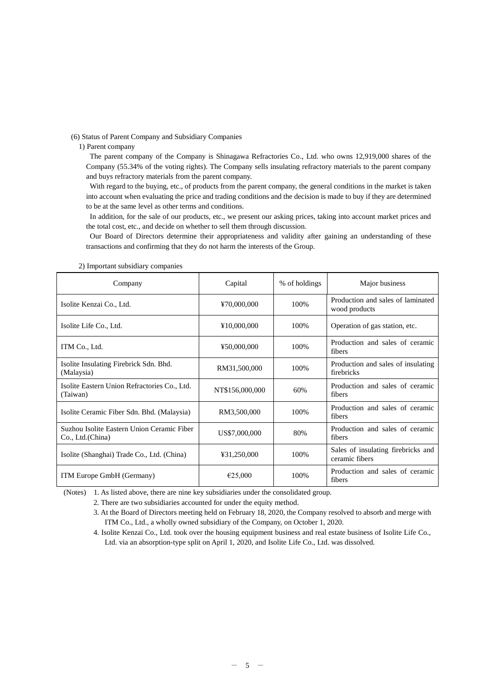(6) Status of Parent Company and Subsidiary Companies

1) Parent company

The parent company of the Company is Shinagawa Refractories Co., Ltd. who owns 12,919,000 shares of the Company (55.34% of the voting rights). The Company sells insulating refractory materials to the parent company and buys refractory materials from the parent company.

With regard to the buying, etc., of products from the parent company, the general conditions in the market is taken into account when evaluating the price and trading conditions and the decision is made to buy if they are determined to be at the same level as other terms and conditions.

In addition, for the sale of our products, etc., we present our asking prices, taking into account market prices and the total cost, etc., and decide on whether to sell them through discussion.

Our Board of Directors determine their appropriateness and validity after gaining an understanding of these transactions and confirming that they do not harm the interests of the Group.

| Company                                                         | Capital         | % of holdings | Major business                                       |
|-----------------------------------------------------------------|-----------------|---------------|------------------------------------------------------|
| Isolite Kenzai Co., Ltd.                                        | ¥70,000,000     | 100%          | Production and sales of laminated<br>wood products   |
| Isolite Life Co., Ltd.                                          | ¥10,000,000     | 100%          | Operation of gas station, etc.                       |
| ITM Co., Ltd.                                                   | ¥50,000,000     | 100%          | Production and sales of ceramic<br>fibers            |
| Isolite Insulating Firebrick Sdn. Bhd.<br>(Malaysia)            | RM31,500,000    | 100%          | Production and sales of insulating<br>firebricks     |
| Isolite Eastern Union Refractories Co., Ltd.<br>(Taiwan)        | NT\$156,000,000 | 60%           | Production and sales of ceramic<br>fibers            |
| Isolite Ceramic Fiber Sdn. Bhd. (Malaysia)                      | RM3,500,000     | 100%          | Production and sales of ceramic<br>fibers            |
| Suzhou Isolite Eastern Union Ceramic Fiber<br>Co., Ltd. (China) | US\$7,000,000   | 80%           | Production and sales of ceramic<br>fibers            |
| Isolite (Shanghai) Trade Co., Ltd. (China)                      | ¥31,250,000     | 100%          | Sales of insulating firebricks and<br>ceramic fibers |
| ITM Europe GmbH (Germany)                                       | €25,000         | 100%          | Production and sales of ceramic<br>fibers            |

2) Important subsidiary companies

(Notes) 1. As listed above, there are nine key subsidiaries under the consolidated group.

2. There are two subsidiaries accounted for under the equity method.

3. At the Board of Directors meeting held on February 18, 2020, the Company resolved to absorb and merge with ITM Co., Ltd., a wholly owned subsidiary of the Company, on October 1, 2020.

4. Isolite Kenzai Co., Ltd. took over the housing equipment business and real estate business of Isolite Life Co., Ltd. via an absorption-type split on April 1, 2020, and Isolite Life Co., Ltd. was dissolved.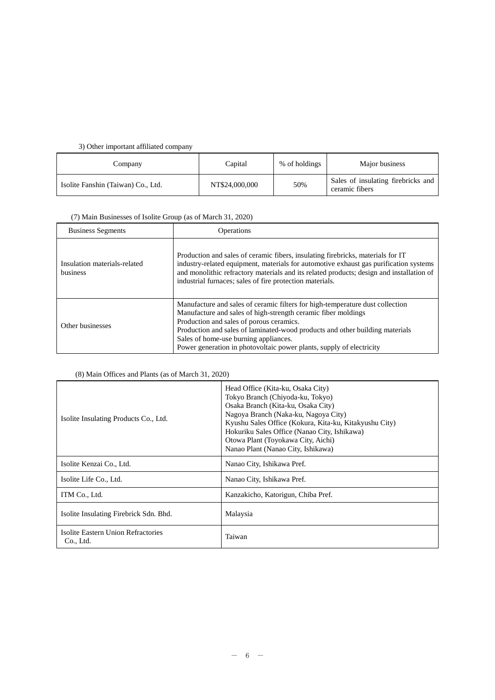## 3) Other important affiliated company

| Company                            | Capital        | % of holdings | Major business                                       |
|------------------------------------|----------------|---------------|------------------------------------------------------|
| Isolite Fanshin (Taiwan) Co., Ltd. | NT\$24,000,000 | 50%           | Sales of insulating firebricks and<br>ceramic fibers |

## (7) Main Businesses of Isolite Group (as of March 31, 2020)

| <b>Business Segments</b>                 | Operations                                                                                                                                                                                                                                                                                                                                                                                  |
|------------------------------------------|---------------------------------------------------------------------------------------------------------------------------------------------------------------------------------------------------------------------------------------------------------------------------------------------------------------------------------------------------------------------------------------------|
| Insulation materials-related<br>business | Production and sales of ceramic fibers, insulating firebricks, materials for IT<br>industry-related equipment, materials for automotive exhaust gas purification systems<br>and monolithic refractory materials and its related products; design and installation of<br>industrial furnaces; sales of fire protection materials.                                                            |
| Other businesses                         | Manufacture and sales of ceramic filters for high-temperature dust collection<br>Manufacture and sales of high-strength ceramic fiber moldings<br>Production and sales of porous ceramics.<br>Production and sales of laminated-wood products and other building materials<br>Sales of home-use burning appliances.<br>Power generation in photovoltaic power plants, supply of electricity |

## (8) Main Offices and Plants (as of March 31, 2020)

| Isolite Insulating Products Co., Ltd.           | Head Office (Kita-ku, Osaka City)<br>Tokyo Branch (Chiyoda-ku, Tokyo)<br>Osaka Branch (Kita-ku, Osaka City)<br>Nagoya Branch (Naka-ku, Nagoya City)<br>Kyushu Sales Office (Kokura, Kita-ku, Kitakyushu City)<br>Hokuriku Sales Office (Nanao City, Ishikawa)<br>Otowa Plant (Toyokawa City, Aichi)<br>Nanao Plant (Nanao City, Ishikawa) |  |
|-------------------------------------------------|-------------------------------------------------------------------------------------------------------------------------------------------------------------------------------------------------------------------------------------------------------------------------------------------------------------------------------------------|--|
| Isolite Kenzai Co., Ltd.                        | Nanao City, Ishikawa Pref.                                                                                                                                                                                                                                                                                                                |  |
| Isolite Life Co., Ltd.                          | Nanao City, Ishikawa Pref.                                                                                                                                                                                                                                                                                                                |  |
| ITM Co., Ltd.                                   | Kanzakicho, Katorigun, Chiba Pref.                                                                                                                                                                                                                                                                                                        |  |
| Isolite Insulating Firebrick Sdn. Bhd.          | Malaysia                                                                                                                                                                                                                                                                                                                                  |  |
| Isolite Eastern Union Refractories<br>Co., Ltd. | Taiwan                                                                                                                                                                                                                                                                                                                                    |  |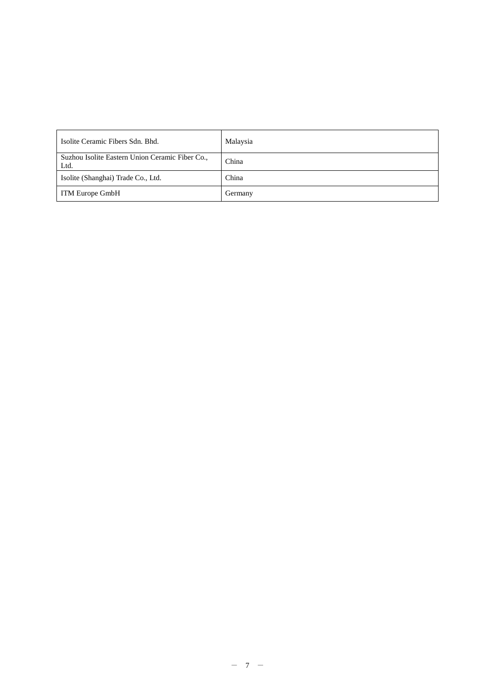| Isolite Ceramic Fibers Sdn. Bhd.                        | Malaysia |
|---------------------------------------------------------|----------|
| Suzhou Isolite Eastern Union Ceramic Fiber Co.,<br>Ltd. | China    |
| Isolite (Shanghai) Trade Co., Ltd.                      | China    |
| <b>ITM Europe GmbH</b>                                  | Germany  |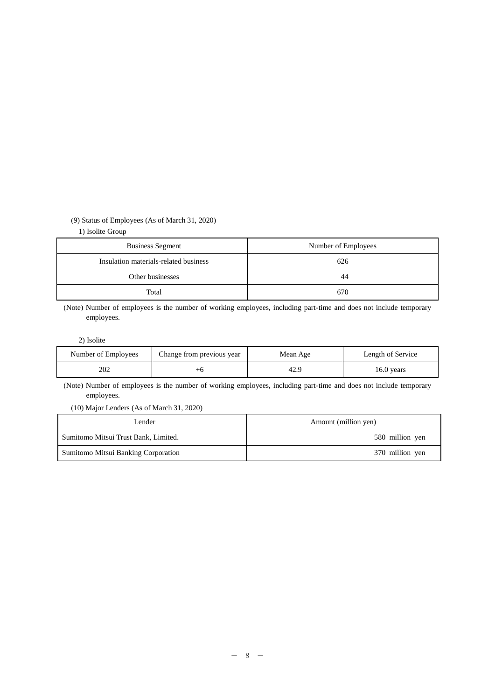### (9) Status of Employees (As of March 31, 2020)

### 1) Isolite Group

| <b>Business Segment</b>               | Number of Employees |  |
|---------------------------------------|---------------------|--|
| Insulation materials-related business | 626                 |  |
| Other businesses                      | 44                  |  |
| Total                                 | 670                 |  |

(Note) Number of employees is the number of working employees, including part-time and does not include temporary employees.

#### 2) Isolite

| Number of Employees | Change from previous year | Mean Age | Length of Service |
|---------------------|---------------------------|----------|-------------------|
| 202                 |                           | 42.9     | $16.0$ years      |

(Note) Number of employees is the number of working employees, including part-time and does not include temporary employees.

### (10) Major Lenders (As of March 31, 2020)

| Lender                               | Amount (million yen) |  |
|--------------------------------------|----------------------|--|
| Sumitomo Mitsui Trust Bank, Limited. | 580 million yen      |  |
| Sumitomo Mitsui Banking Corporation  | 370 million yen      |  |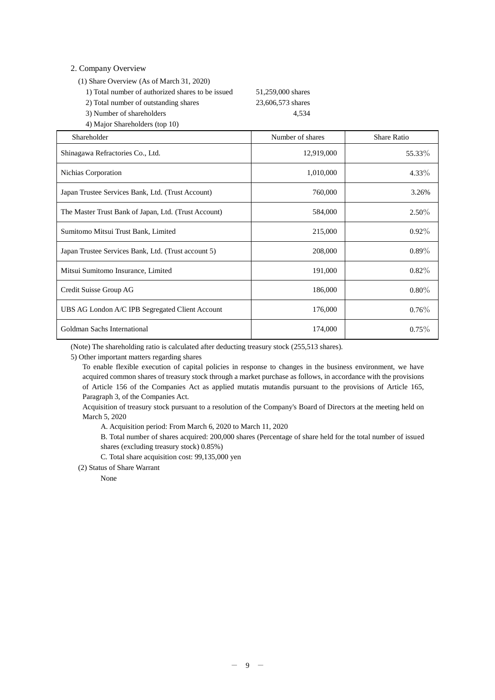### 2. Company Overview

- (1) Share Overview (As of March 31, 2020)
	- 1) Total number of authorized shares to be issued 51,259,000 shares
	- 2) Total number of outstanding shares 23,606,573 shares

3) Number of shareholders 4,534 4) Major Shareholders (top 10)

| Shareholder                                          | Number of shares | <b>Share Ratio</b> |
|------------------------------------------------------|------------------|--------------------|
| Shinagawa Refractories Co., Ltd.                     | 12,919,000       | 55.33%             |
| Nichias Corporation                                  | 1,010,000        | $4.33\%$           |
| Japan Trustee Services Bank, Ltd. (Trust Account)    | 760,000          | 3.26%              |
| The Master Trust Bank of Japan, Ltd. (Trust Account) | 584,000          | $2.50\%$           |
| Sumitomo Mitsui Trust Bank, Limited                  | 215,000          | $0.92\%$           |
| Japan Trustee Services Bank, Ltd. (Trust account 5)  | 208,000          | $0.89\%$           |
| Mitsui Sumitomo Insurance, Limited                   | 191,000          | $0.82\%$           |
| Credit Suisse Group AG                               | 186,000          | $0.80\%$           |
| UBS AG London A/C IPB Segregated Client Account      | 176,000          | $0.76\%$           |
| Goldman Sachs International                          | 174,000          | $0.75\%$           |

(Note) The shareholding ratio is calculated after deducting treasury stock (255,513 shares).

5) Other important matters regarding shares

To enable flexible execution of capital policies in response to changes in the business environment, we have acquired common shares of treasury stock through a market purchase as follows, in accordance with the provisions of Article 156 of the Companies Act as applied mutatis mutandis pursuant to the provisions of Article 165, Paragraph 3, of the Companies Act.

Acquisition of treasury stock pursuant to a resolution of the Company's Board of Directors at the meeting held on March 5, 2020

A. Acquisition period: From March 6, 2020 to March 11, 2020

B. Total number of shares acquired: 200,000 shares (Percentage of share held for the total number of issued shares (excluding treasury stock) 0.85%)

C. Total share acquisition cost: 99,135,000 yen

(2) Status of Share Warrant

None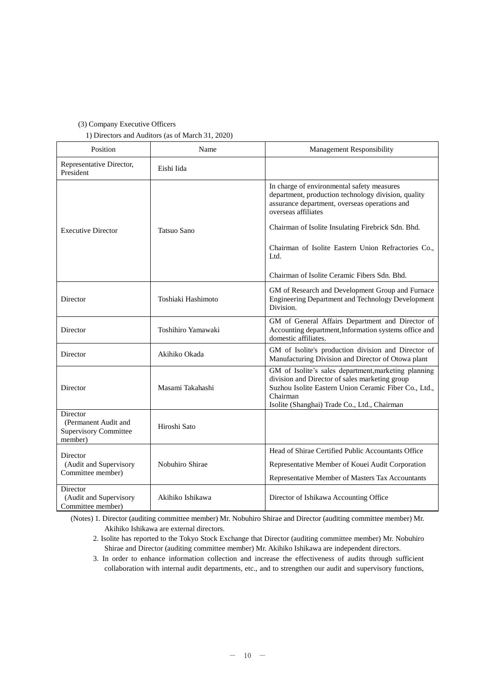#### (3) Company Executive Officers

1) Directors and Auditors (as of March 31, 2020)

| Position                                                                    | Name               | <b>Management Responsibility</b>                                                                                                                                                                                            |
|-----------------------------------------------------------------------------|--------------------|-----------------------------------------------------------------------------------------------------------------------------------------------------------------------------------------------------------------------------|
| Representative Director,<br>President                                       | Eishi Iida         |                                                                                                                                                                                                                             |
|                                                                             |                    | In charge of environmental safety measures<br>department, production technology division, quality<br>assurance department, overseas operations and<br>overseas affiliates                                                   |
| <b>Executive Director</b>                                                   | <b>Tatsuo Sano</b> | Chairman of Isolite Insulating Firebrick Sdn. Bhd.                                                                                                                                                                          |
|                                                                             |                    | Chairman of Isolite Eastern Union Refractories Co.,<br>Ltd.                                                                                                                                                                 |
|                                                                             |                    | Chairman of Isolite Ceramic Fibers Sdn. Bhd.                                                                                                                                                                                |
| Director                                                                    | Toshiaki Hashimoto | GM of Research and Development Group and Furnace<br>Engineering Department and Technology Development<br>Division.                                                                                                          |
| Director                                                                    | Toshihiro Yamawaki | GM of General Affairs Department and Director of<br>Accounting department, Information systems office and<br>domestic affiliates.                                                                                           |
| Director                                                                    | Akihiko Okada      | GM of Isolite's production division and Director of<br>Manufacturing Division and Director of Otowa plant                                                                                                                   |
| Director                                                                    | Masami Takahashi   | GM of Isolite's sales department, marketing planning<br>division and Director of sales marketing group<br>Suzhou Isolite Eastern Union Ceramic Fiber Co., Ltd.,<br>Chairman<br>Isolite (Shanghai) Trade Co., Ltd., Chairman |
| Director<br>(Permanent Audit and<br><b>Supervisory Committee</b><br>member) | Hiroshi Sato       |                                                                                                                                                                                                                             |
| Director                                                                    |                    | Head of Shirae Certified Public Accountants Office                                                                                                                                                                          |
| (Audit and Supervisory<br>Committee member)                                 | Nobuhiro Shirae    | Representative Member of Kouei Audit Corporation<br>Representative Member of Masters Tax Accountants                                                                                                                        |
| Director                                                                    |                    |                                                                                                                                                                                                                             |
| (Audit and Supervisory<br>Committee member)                                 | Akihiko Ishikawa   | Director of Ishikawa Accounting Office                                                                                                                                                                                      |

(Notes) 1. Director (auditing committee member) Mr. Nobuhiro Shirae and Director (auditing committee member) Mr. Akihiko Ishikawa are external directors.

2. Isolite has reported to the Tokyo Stock Exchange that Director (auditing committee member) Mr. Nobuhiro Shirae and Director (auditing committee member) Mr. Akihiko Ishikawa are independent directors.

3. In order to enhance information collection and increase the effectiveness of audits through sufficient collaboration with internal audit departments, etc., and to strengthen our audit and supervisory functions,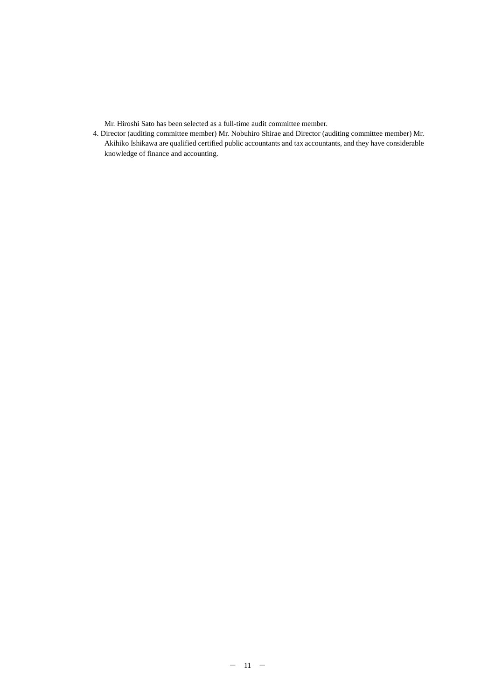Mr. Hiroshi Sato has been selected as a full-time audit committee member.

4. Director (auditing committee member) Mr. Nobuhiro Shirae and Director (auditing committee member) Mr. Akihiko Ishikawa are qualified certified public accountants and tax accountants, and they have considerable knowledge of finance and accounting.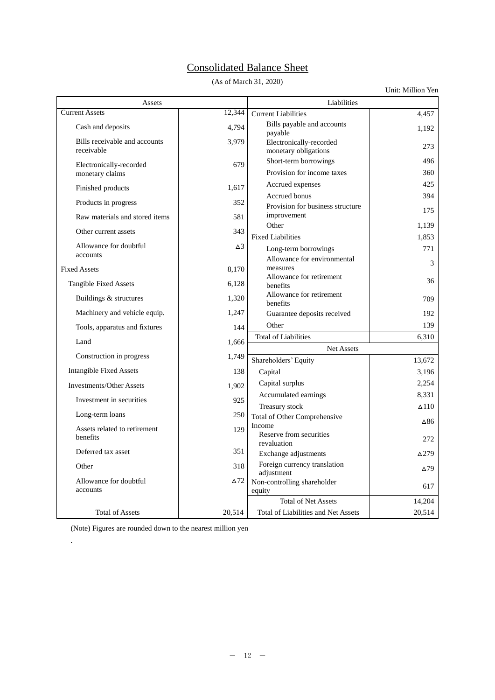# Consolidated Balance Sheet

(As of March 31, 2020)

|                                             |             |                                                     | Unit: Million Yen |  |
|---------------------------------------------|-------------|-----------------------------------------------------|-------------------|--|
| Assets                                      |             | Liabilities                                         |                   |  |
| <b>Current Assets</b>                       | 12,344      | <b>Current Liabilities</b>                          | 4,457             |  |
| Cash and deposits                           | 4,794       | Bills payable and accounts<br>payable               | 1,192             |  |
| Bills receivable and accounts<br>receivable | 3,979       | Electronically-recorded<br>monetary obligations     | 273               |  |
| Electronically-recorded<br>monetary claims  | 679         | Short-term borrowings<br>Provision for income taxes | 496<br>360        |  |
|                                             |             | Accrued expenses                                    | 425               |  |
| Finished products                           | 1,617       | Accrued bonus                                       | 394               |  |
| Products in progress                        | 352         | Provision for business structure<br>improvement     | 175               |  |
| Raw materials and stored items              | 581         | Other                                               | 1,139             |  |
| Other current assets                        | 343         | <b>Fixed Liabilities</b>                            | 1,853             |  |
| Allowance for doubtful                      | $\Delta$ 3  | Long-term borrowings                                | 771               |  |
| accounts                                    |             | Allowance for environmental                         | 3                 |  |
| <b>Fixed Assets</b>                         | 8,170       | measures                                            |                   |  |
| <b>Tangible Fixed Assets</b>                | 6,128       | Allowance for retirement<br>benefits                | 36                |  |
| Buildings & structures                      | 1,320       | Allowance for retirement<br>benefits                | 709               |  |
| Machinery and vehicle equip.                | 1,247       | Guarantee deposits received                         | 192               |  |
| Tools, apparatus and fixtures               | 144         | Other                                               | 139               |  |
| Land                                        | 1,666       | <b>Total of Liabilities</b>                         | 6,310             |  |
|                                             |             | <b>Net Assets</b>                                   |                   |  |
| Construction in progress                    | 1,749       | Shareholders' Equity                                | 13,672            |  |
| <b>Intangible Fixed Assets</b>              | 138         | Capital                                             | 3,196             |  |
| <b>Investments/Other Assets</b>             | 1,902       | Capital surplus                                     | 2,254             |  |
| Investment in securities                    | 925         | Accumulated earnings                                | 8,331             |  |
| Long-term loans                             | 250         | Treasury stock                                      | $\Delta$ 110      |  |
|                                             |             | Total of Other Comprehensive<br>Income              | ∆86               |  |
| Assets related to retirement<br>benefits    | 129         | Reserve from securities<br>revaluation              | 272               |  |
| Deferred tax asset                          | 351         | Exchange adjustments                                | $\Delta$ 279      |  |
| Other                                       | 318         | Foreign currency translation<br>adjustment          | $\Delta$ 79       |  |
| Allowance for doubtful<br>accounts          | $\Delta$ 72 | Non-controlling shareholder<br>equity               | 617               |  |
|                                             |             | <b>Total of Net Assets</b>                          | 14,204            |  |
| <b>Total of Assets</b>                      | 20,514      | Total of Liabilities and Net Assets                 | 20,514            |  |

(Note) Figures are rounded down to the nearest million yen

.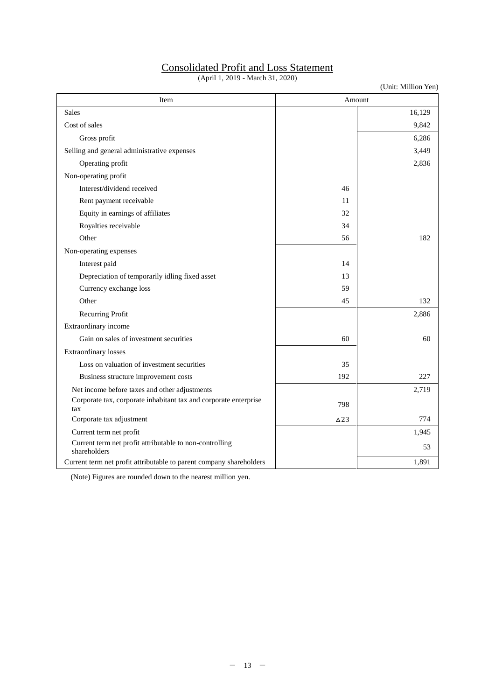# Consolidated Profit and Loss Statement

(April 1, 2019 - March 31, 2020)

(Unit: Million Yen)

| Item                                                                    |                | Amount |
|-------------------------------------------------------------------------|----------------|--------|
| Sales                                                                   |                | 16,129 |
| Cost of sales                                                           |                | 9,842  |
| Gross profit                                                            |                | 6,286  |
| Selling and general administrative expenses                             |                | 3,449  |
| Operating profit                                                        |                | 2,836  |
| Non-operating profit                                                    |                |        |
| Interest/dividend received                                              | 46             |        |
| Rent payment receivable                                                 | 11             |        |
| Equity in earnings of affiliates                                        | 32             |        |
| Royalties receivable                                                    | 34             |        |
| Other                                                                   | 56             | 182    |
| Non-operating expenses                                                  |                |        |
| Interest paid                                                           | 14             |        |
| Depreciation of temporarily idling fixed asset                          | 13             |        |
| Currency exchange loss                                                  | 59             |        |
| Other                                                                   | 45             | 132    |
| Recurring Profit                                                        |                | 2,886  |
| Extraordinary income                                                    |                |        |
| Gain on sales of investment securities                                  | 60             | 60     |
| Extraordinary losses                                                    |                |        |
| Loss on valuation of investment securities                              | 35             |        |
| Business structure improvement costs                                    | 192            | 227    |
| Net income before taxes and other adjustments                           |                | 2,719  |
| Corporate tax, corporate inhabitant tax and corporate enterprise<br>tax | 798            |        |
| Corporate tax adjustment                                                | $\triangle$ 23 | 774    |
| Current term net profit                                                 |                | 1,945  |
| Current term net profit attributable to non-controlling<br>shareholders |                | 53     |
| Current term net profit attributable to parent company shareholders     |                | 1,891  |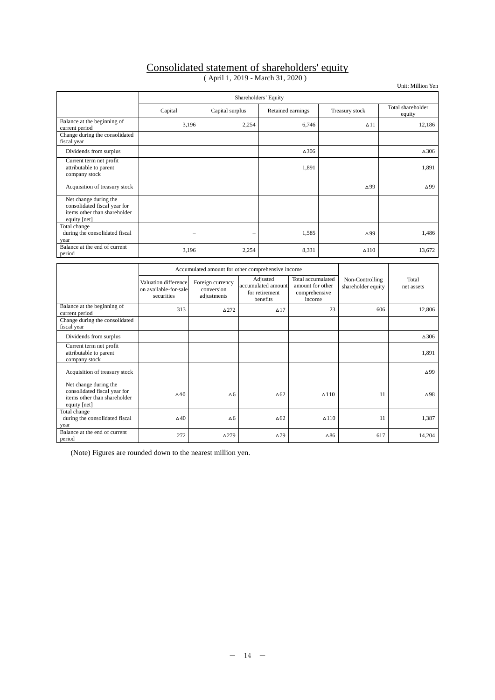# Consolidated statement of shareholders' equity

|  |  |  | (April 1, 2019 - March 31, 2020) |  |  |  |
|--|--|--|----------------------------------|--|--|--|
|--|--|--|----------------------------------|--|--|--|

Unit: Million Yen

|                                                                                                       |                                                             | Shareholders' Equity                              |                          |                                                              |                                                                  |                 |                                       |     |                             |
|-------------------------------------------------------------------------------------------------------|-------------------------------------------------------------|---------------------------------------------------|--------------------------|--------------------------------------------------------------|------------------------------------------------------------------|-----------------|---------------------------------------|-----|-----------------------------|
|                                                                                                       | Capital                                                     | Capital surplus                                   |                          |                                                              | Retained earnings                                                |                 | Treasury stock                        |     | Total shareholder<br>equity |
| Balance at the beginning of<br>current period                                                         | 3,196                                                       |                                                   | 2,254                    |                                                              | 6,746                                                            |                 | $\Delta$ 11                           |     | 12.186                      |
| Change during the consolidated<br>fiscal year                                                         |                                                             |                                                   |                          |                                                              |                                                                  |                 |                                       |     |                             |
| Dividends from surplus                                                                                |                                                             |                                                   |                          |                                                              | $\Delta 306$                                                     |                 |                                       |     | $\Delta 306$                |
| Current term net profit<br>attributable to parent<br>company stock                                    |                                                             |                                                   |                          |                                                              | 1,891                                                            |                 |                                       |     | 1,891                       |
| Acquisition of treasury stock                                                                         |                                                             |                                                   |                          |                                                              |                                                                  |                 | $\Delta$ 99                           |     | $\Delta$ 99                 |
| Net change during the<br>consolidated fiscal year for<br>items other than shareholder<br>equity [net] |                                                             |                                                   |                          |                                                              |                                                                  |                 |                                       |     |                             |
| Total change<br>during the consolidated fiscal<br>year                                                |                                                             | $\overline{\phantom{0}}$                          | $\overline{\phantom{0}}$ |                                                              | 1.585                                                            |                 | $\Delta$ 99                           |     | 1.486                       |
| Balance at the end of current<br>period                                                               | 3,196                                                       |                                                   | 2,254                    |                                                              | 8,331                                                            |                 | $\Delta$ 110                          |     | 13,672                      |
|                                                                                                       |                                                             | Accumulated amount for other comprehensive income |                          |                                                              |                                                                  |                 |                                       |     |                             |
|                                                                                                       | Valuation difference<br>on available-for-sale<br>securities | Foreign currency<br>conversion<br>adjustments     |                          | Adjusted<br>accumulated amount<br>for retirement<br>benefits | Total accumulated<br>amount for other<br>comprehensive<br>income |                 | Non-Controlling<br>shareholder equity |     | Total<br>net assets         |
| Balance at the beginning of<br>current period                                                         | 313                                                         | $\triangle$ 272                                   |                          | $\Delta$ 17                                                  |                                                                  | 23              |                                       | 606 | 12,806                      |
| Change during the consolidated<br>fiscal year                                                         |                                                             |                                                   |                          |                                                              |                                                                  |                 |                                       |     |                             |
| Dividends from surplus                                                                                |                                                             |                                                   |                          |                                                              |                                                                  |                 |                                       |     | $\Delta$ 306                |
| Current term net profit<br>attributable to parent<br>company stock                                    |                                                             |                                                   |                          |                                                              |                                                                  |                 |                                       |     | 1,891                       |
| Acquisition of treasury stock                                                                         |                                                             |                                                   |                          |                                                              |                                                                  |                 |                                       |     | $\Delta$ 99                 |
| Net change during the<br>consolidated fiscal year for<br>items other than shareholder<br>equity [net] | $\triangle 40$                                              | Δ6                                                |                          | $\Delta 62$                                                  |                                                                  | $\triangle$ 110 |                                       | 11  | $\Delta$ 98                 |
| Total change<br>during the consolidated fiscal<br>year                                                | $\Delta$ 40                                                 | Δ6                                                |                          | $\triangle 62$                                               |                                                                  | $\Delta$ 110    |                                       | 11  | 1,387                       |
| Balance at the end of current<br>period                                                               | 272                                                         | $\Delta$ 279                                      |                          | $\Delta$ 79                                                  |                                                                  | $\Delta 86$     |                                       | 617 | 14,204                      |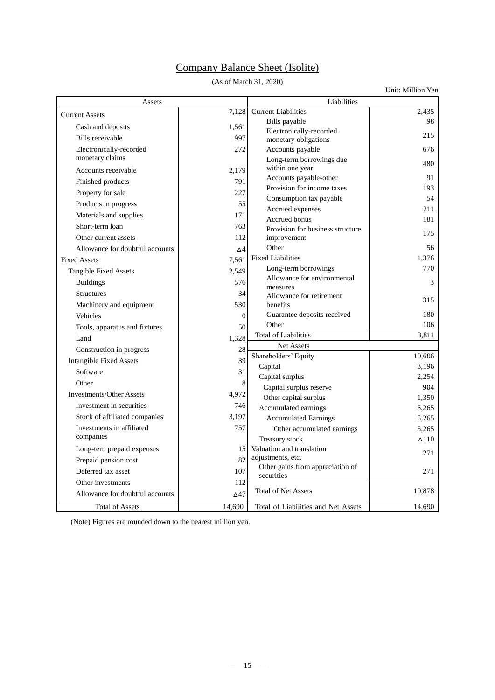# Company Balance Sheet (Isolite)

(As of March 31, 2020)

Unit: Million Yen

| Assets                          |             | Liabilities                                     |                 |  |
|---------------------------------|-------------|-------------------------------------------------|-----------------|--|
| <b>Current Assets</b>           | 7,128       | <b>Current Liabilities</b>                      | 2,435           |  |
| Cash and deposits               | 1,561       | Bills payable                                   | 98              |  |
| Bills receivable                | 997         | Electronically-recorded<br>monetary obligations | 215             |  |
| Electronically-recorded         | 272         | Accounts payable                                | 676             |  |
| monetary claims                 |             | Long-term borrowings due                        |                 |  |
| Accounts receivable             | 2,179       | within one year                                 | 480             |  |
| Finished products               | 791         | Accounts payable-other                          | 91              |  |
| Property for sale               | 227         | Provision for income taxes                      | 193             |  |
| Products in progress            | 55          | Consumption tax payable                         | 54              |  |
| Materials and supplies          | 171         | Accrued expenses                                | 211             |  |
| Short-term loan                 | 763         | <b>Accrued</b> bonus                            | 181             |  |
| Other current assets            | 112         | Provision for business structure<br>improvement | 175             |  |
| Allowance for doubtful accounts | Δ4          | Other                                           | 56              |  |
| <b>Fixed Assets</b>             | 7,561       | <b>Fixed Liabilities</b>                        | 1,376           |  |
|                                 | 2,549       | Long-term borrowings                            | 770             |  |
| <b>Tangible Fixed Assets</b>    |             | Allowance for environmental                     |                 |  |
| <b>Buildings</b>                | 576         | measures                                        | 3               |  |
| <b>Structures</b>               | 34          | Allowance for retirement                        | 315             |  |
| Machinery and equipment         | 530         | benefits<br>Guarantee deposits received         | 180             |  |
| Vehicles                        | $\theta$    | Other                                           | 106             |  |
| Tools, apparatus and fixtures   | 50          | <b>Total of Liabilities</b>                     | 3,811           |  |
| Land                            | 1,328       | Net Assets                                      |                 |  |
| Construction in progress        | 28          | Shareholders' Equity                            | 10,606          |  |
| <b>Intangible Fixed Assets</b>  | 39          | Capital                                         | 3,196           |  |
| Software                        | 31          | Capital surplus                                 | 2,254           |  |
| Other                           | 8           | Capital surplus reserve                         | 904             |  |
| <b>Investments/Other Assets</b> | 4,972       | Other capital surplus                           | 1,350           |  |
| Investment in securities        | 746         | Accumulated earnings                            | 5.265           |  |
| Stock of affiliated companies   | 3,197       | <b>Accumulated Earnings</b>                     | 5,265           |  |
| Investments in affiliated       | 757         | Other accumulated earnings                      | 5.265           |  |
| companies                       |             | Treasury stock                                  | $\triangle$ 110 |  |
| Long-tern prepaid expenses      | 15          | Valuation and translation                       | 271             |  |
| Prepaid pension cost            | 82          | adjustments, etc.                               |                 |  |
| Deferred tax asset              | 107         | Other gains from appreciation of<br>securities  | 271             |  |
| Other investments               | 112         |                                                 |                 |  |
| Allowance for doubtful accounts | $\Delta$ 47 | <b>Total of Net Assets</b>                      | 10,878          |  |
| <b>Total of Assets</b>          | 14,690      | Total of Liabilities and Net Assets             | 14,690          |  |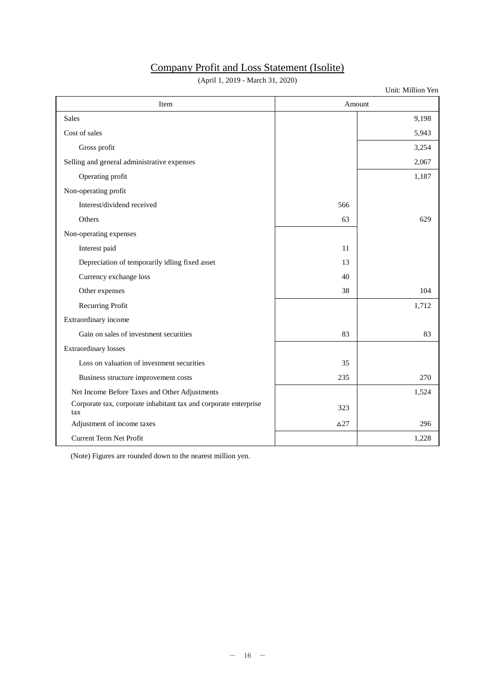# Company Profit and Loss Statement (Isolite)

(April 1, 2019 - March 31, 2020)

Unit: Million Yen

| Item                                                                    | Amount     |       |  |
|-------------------------------------------------------------------------|------------|-------|--|
| <b>Sales</b>                                                            |            | 9,198 |  |
| Cost of sales                                                           |            | 5,943 |  |
| Gross profit                                                            |            | 3,254 |  |
| Selling and general administrative expenses                             |            | 2,067 |  |
| Operating profit                                                        |            | 1,187 |  |
| Non-operating profit                                                    |            |       |  |
| Interest/dividend received                                              | 566        |       |  |
| Others                                                                  | 63         | 629   |  |
| Non-operating expenses                                                  |            |       |  |
| Interest paid                                                           | 11         |       |  |
| Depreciation of temporarily idling fixed asset                          | 13         |       |  |
| Currency exchange loss                                                  | 40         |       |  |
| Other expenses                                                          | 38         | 104   |  |
| <b>Recurring Profit</b>                                                 |            | 1,712 |  |
| Extraordinary income                                                    |            |       |  |
| Gain on sales of investment securities                                  | 83         | 83    |  |
| <b>Extraordinary losses</b>                                             |            |       |  |
| Loss on valuation of investment securities                              | 35         |       |  |
| Business structure improvement costs                                    | 235        | 270   |  |
| Net Income Before Taxes and Other Adjustments                           |            | 1,524 |  |
| Corporate tax, corporate inhabitant tax and corporate enterprise<br>tax | 323        |       |  |
| Adjustment of income taxes                                              | $\Delta27$ | 296   |  |
| Current Term Net Profit                                                 |            | 1,228 |  |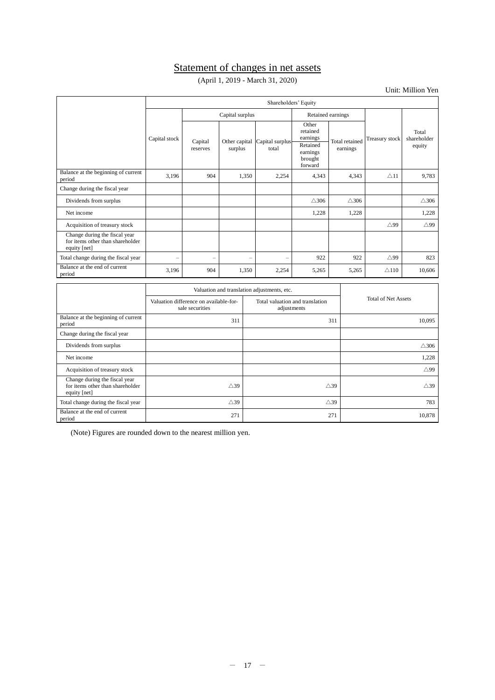# Statement of changes in net assets

(April 1, 2019 - March 31, 2020)

Unit: Million Yen

|                                                                                   |                                             | Shareholders' Equity                                                     |                                      |                          |                                                                             |                                   |                            |                                |  |
|-----------------------------------------------------------------------------------|---------------------------------------------|--------------------------------------------------------------------------|--------------------------------------|--------------------------|-----------------------------------------------------------------------------|-----------------------------------|----------------------------|--------------------------------|--|
|                                                                                   |                                             |                                                                          | Capital surplus<br>Retained earnings |                          |                                                                             |                                   |                            |                                |  |
|                                                                                   | Capital stock                               | Capital<br>reserves                                                      | Other capital<br>surplus             | Capital surplus<br>total | Other<br>retained<br>earnings<br>Retained<br>earnings<br>brought<br>forward | <b>Total</b> retained<br>earnings | <b>Treasury</b> stock      | Total<br>shareholder<br>equity |  |
| Balance at the beginning of current<br>period                                     | 3,196                                       | 904                                                                      | 1,350                                | 2,254                    | 4,343                                                                       | 4,343                             | $\triangle$ 11             | 9,783                          |  |
| Change during the fiscal year                                                     |                                             |                                                                          |                                      |                          |                                                                             |                                   |                            |                                |  |
| Dividends from surplus                                                            |                                             |                                                                          |                                      |                          | $\triangle$ 306                                                             | $\triangle$ 306                   |                            | $\triangle$ 306                |  |
| Net income                                                                        |                                             |                                                                          |                                      |                          | 1,228                                                                       | 1,228                             |                            | 1,228                          |  |
| Acquisition of treasury stock                                                     |                                             |                                                                          |                                      |                          |                                                                             |                                   | $\triangle$ 99             | $\triangle$ 99                 |  |
| Change during the fiscal year<br>for items other than shareholder<br>equity [net] |                                             |                                                                          |                                      |                          |                                                                             |                                   |                            |                                |  |
| Total change during the fiscal year                                               | -                                           | -                                                                        | -                                    | ÷                        | 922                                                                         | 922                               | $\triangle$ 99             | 823                            |  |
| Balance at the end of current<br>period                                           | 3,196                                       | 904                                                                      | 1,350                                | 2,254                    | 5,265                                                                       | 5,265                             | $\triangle$ 110            | 10,606                         |  |
|                                                                                   | Valuation and translation adjustments, etc. |                                                                          |                                      |                          |                                                                             |                                   |                            |                                |  |
|                                                                                   |                                             | Valuation difference on available-for-<br>sale securities<br>adjustments |                                      |                          | Total valuation and translation                                             |                                   | <b>Total of Net Assets</b> |                                |  |

|                                                                                   | Valuation difference on available-for-<br>sale securities | Total valuation and translation<br>adjustments | <b>Total of Net Assets</b> |  |
|-----------------------------------------------------------------------------------|-----------------------------------------------------------|------------------------------------------------|----------------------------|--|
| Balance at the beginning of current<br>period                                     | 311                                                       | 311                                            | 10,095                     |  |
| Change during the fiscal year                                                     |                                                           |                                                |                            |  |
| Dividends from surplus                                                            |                                                           |                                                | $\triangle$ 306            |  |
| Net income                                                                        |                                                           |                                                | 1,228                      |  |
| Acquisition of treasury stock                                                     |                                                           |                                                | $\triangle$ 99             |  |
| Change during the fiscal year<br>for items other than shareholder<br>equity [net] | $\triangle 39$                                            | $\triangle 39$                                 | $\triangle 39$             |  |
| Total change during the fiscal year                                               | $\triangle 39$                                            | $\triangle$ 39                                 | 783                        |  |
| Balance at the end of current<br>period                                           | 271                                                       | 271                                            | 10,878                     |  |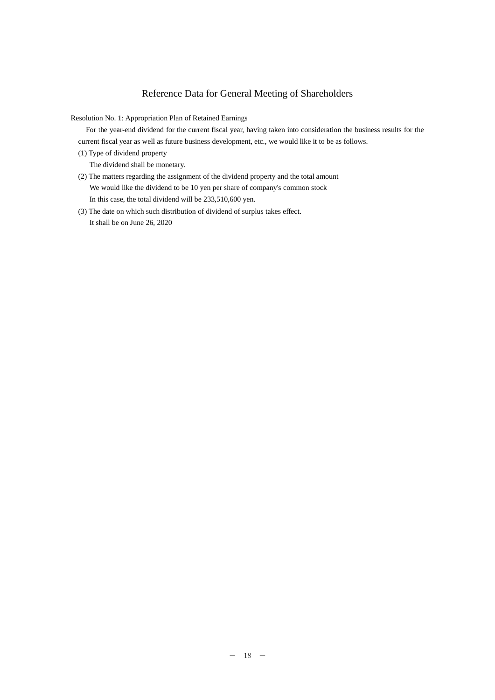## Reference Data for General Meeting of Shareholders

Resolution No. 1: Appropriation Plan of Retained Earnings

 For the year-end dividend for the current fiscal year, having taken into consideration the business results for the current fiscal year as well as future business development, etc., we would like it to be as follows.

(1) Type of dividend property

The dividend shall be monetary.

- (2) The matters regarding the assignment of the dividend property and the total amount We would like the dividend to be 10 yen per share of company's common stock In this case, the total dividend will be 233,510,600 yen.
- (3) The date on which such distribution of dividend of surplus takes effect. It shall be on June 26, 2020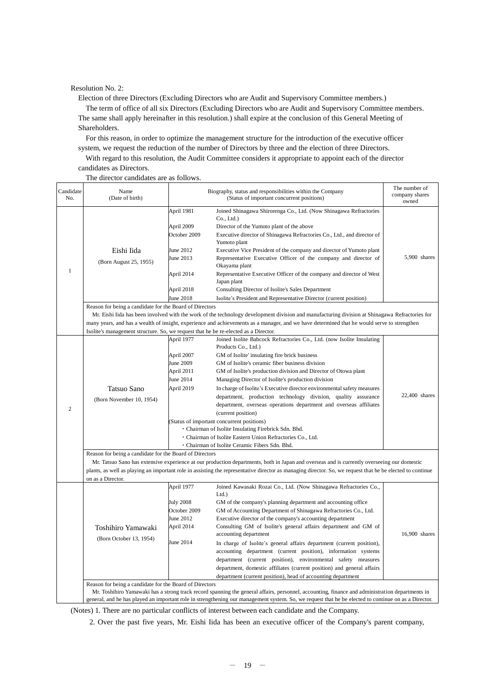Resolution No. 2:

 $\mathbf{I}$ 

Election of three Directors (Excluding Directors who are Audit and Supervisory Committee members.)

The term of office of all six Directors (Excluding Directors who are Audit and Supervisory Committee members. The same shall apply hereinafter in this resolution.) shall expire at the conclusion of this General Meeting of Shareholders.

For this reason, in order to optimize the management structure for the introduction of the executive officer system, we request the reduction of the number of Directors by three and the election of three Directors.

With regard to this resolution, the Audit Committee considers it appropriate to appoint each of the director candidates as Directors.

The director candidates are as follows.

| Candidate<br>Name<br>(Date of birth)          |                                                                                                             | The number of<br>company shares<br>owned                                                                                                                                                                                                                                                                                                                                                                                                                                                                                                                                                                                                                                                                                  |                                                                                                                                                                                                                                                                                                                                                                                                                                                                                                                                                                                                                                                                                                                                                                                                                                                                                                                                                                                                                                                                                                                                                                                                                   |
|-----------------------------------------------|-------------------------------------------------------------------------------------------------------------|---------------------------------------------------------------------------------------------------------------------------------------------------------------------------------------------------------------------------------------------------------------------------------------------------------------------------------------------------------------------------------------------------------------------------------------------------------------------------------------------------------------------------------------------------------------------------------------------------------------------------------------------------------------------------------------------------------------------------|-------------------------------------------------------------------------------------------------------------------------------------------------------------------------------------------------------------------------------------------------------------------------------------------------------------------------------------------------------------------------------------------------------------------------------------------------------------------------------------------------------------------------------------------------------------------------------------------------------------------------------------------------------------------------------------------------------------------------------------------------------------------------------------------------------------------------------------------------------------------------------------------------------------------------------------------------------------------------------------------------------------------------------------------------------------------------------------------------------------------------------------------------------------------------------------------------------------------|
| Eishi Iida<br>(Born August 25, 1955)          | April 1981<br>April 2009<br>October 2009<br>June 2012<br>June 2013<br>April 2014<br>April 2018<br>June 2018 | Joined Shinagawa Shirorenga Co., Ltd. (Now Shinagawa Refractories<br>Co., Ltd.)<br>Director of the Yumoto plant of the above<br>Executive director of Shinagawa Refractories Co., Ltd., and director of<br>Yumoto plant<br>Executive Vice President of the company and director of Yumoto plant<br>Representative Executive Officer of the company and director of<br>Okayama plant<br>Representative Executive Officer of the company and director of West<br>Japan plant<br>Consulting Director of Isolite's Sales Department<br>Isolite's President and Representative Director (current position)                                                                                                                     | 5,900 shares                                                                                                                                                                                                                                                                                                                                                                                                                                                                                                                                                                                                                                                                                                                                                                                                                                                                                                                                                                                                                                                                                                                                                                                                      |
| Tatsuo Sano<br>(Born November 10, 1954)       | April 1977<br>April 2007<br>June 2009<br>April 2011<br>June 2014<br>April 2019                              | Joined Isolite Babcock Refractories Co., Ltd. (now Isolite Insulating<br>Products Co., Ltd.)<br>GM of Isolite' insulating fire brick business<br>GM of Isolite's ceramic fiber business division<br>GM of Isolite's production division and Director of Otowa plant<br>Managing Director of Isolite's production division<br>In charge of Isolite's Executive director environmental safety measures<br>department, production technology division, quality assurance<br>department, overseas operations department and overseas affiliates<br>(current position)                                                                                                                                                         | 22,400 shares                                                                                                                                                                                                                                                                                                                                                                                                                                                                                                                                                                                                                                                                                                                                                                                                                                                                                                                                                                                                                                                                                                                                                                                                     |
| on as a Director.                             |                                                                                                             |                                                                                                                                                                                                                                                                                                                                                                                                                                                                                                                                                                                                                                                                                                                           |                                                                                                                                                                                                                                                                                                                                                                                                                                                                                                                                                                                                                                                                                                                                                                                                                                                                                                                                                                                                                                                                                                                                                                                                                   |
| Toshihiro Yamawaki<br>(Born October 13, 1954) | April 1977<br><b>July 2008</b><br>October 2009<br>June 2012<br>April 2014<br>June 2014                      | Joined Kawasaki Rozai Co., Ltd. (Now Shinagawa Refractories Co.,<br>Ltd.<br>GM of the company's planning department and accounting office<br>GM of Accounting Department of Shinagawa Refractories Co., Ltd.<br>Executive director of the company's accounting department<br>Consulting GM of Isolite's general affairs department and GM of<br>accounting department<br>In charge of Isolite's general affairs department (current position),<br>accounting department (current position), information systems<br>department (current position), environmental safety measures<br>department, domestic affiliates (current position) and general affairs<br>department (current position), head of accounting department | 16,900 shares                                                                                                                                                                                                                                                                                                                                                                                                                                                                                                                                                                                                                                                                                                                                                                                                                                                                                                                                                                                                                                                                                                                                                                                                     |
|                                               |                                                                                                             |                                                                                                                                                                                                                                                                                                                                                                                                                                                                                                                                                                                                                                                                                                                           | Biography, status and responsibilities within the Company<br>(Status of important concurrent positions)<br>Reason for being a candidate for the Board of Directors<br>Mr. Eishi Iida has been involved with the work of the technology development division and manufacturing division at Shinagawa Refractories for<br>many years, and has a wealth of insight, experience and achievements as a manager, and we have determined that he would serve to strengthen<br>Isolite's management structure. So, we request that he be re-elected as a Director.<br>Status of important concurrent positions)<br>· Chairman of Isolite Insulating Firebrick Sdn. Bhd.<br>· Chairman of Isolite Eastern Union Refractories Co., Ltd.<br>· Chairman of Isolite Ceramic Fibers Sdn. Bhd.<br>Reason for being a candidate for the Board of Directors<br>Mr. Tatsuo Sano has extensive experience at our production departments, both in Japan and overseas and is currently overseeing our domestic<br>plants, as well as playing an important role in assisting the representative director as managing director. So, we request that he be elected to continue<br>Reason for being a candidate for the Board of Directors |

general, and he has played an important role in strengthening our management system. So, we request that he be elected to continue on as a Director.

(Notes) 1. There are no particular conflicts of interest between each candidate and the Company.

2. Over the past five years, Mr. Eishi Iida has been an executive officer of the Company's parent company,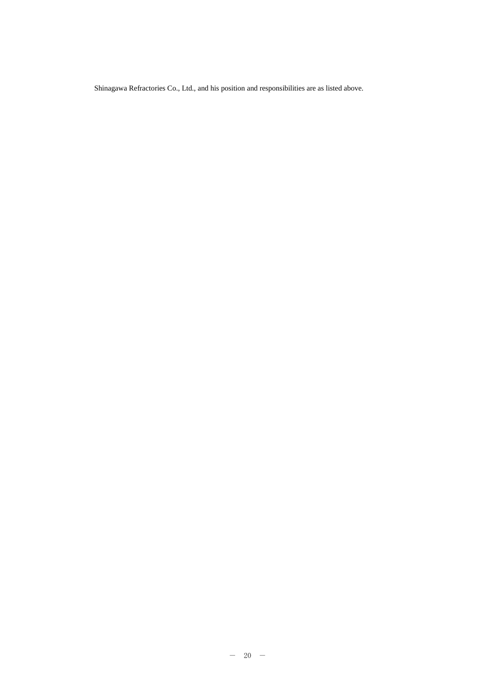Shinagawa Refractories Co., Ltd., and his position and responsibilities are as listed above.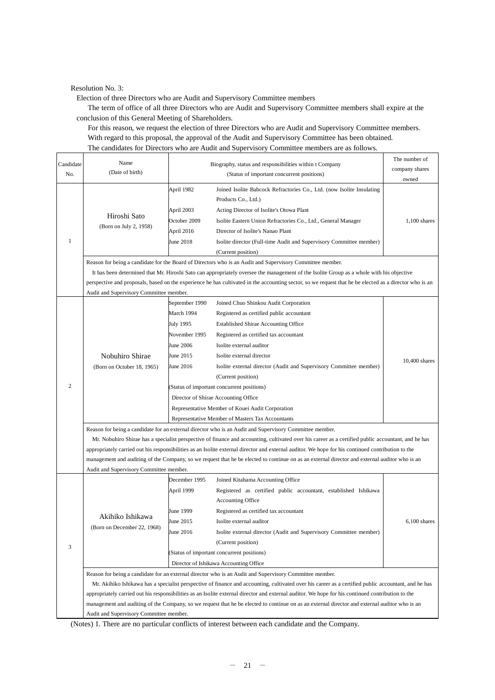Resolution No. 3:

Election of three Directors who are Audit and Supervisory Committee members

The term of office of all three Directors who are Audit and Supervisory Committee members shall expire at the conclusion of this General Meeting of Shareholders.

For this reason, we request the election of three Directors who are Audit and Supervisory Committee members. With regard to this proposal, the approval of the Audit and Supervisory Committee has been obtained. The candidates for Directors who are Audit and Supervisory Committee members are as follows.

| Candidate      | Name                                    |                                            | Biography, status and responsibilities within t Company                                                                                                                                                                                                                                                   | The number of   |  |  |
|----------------|-----------------------------------------|--------------------------------------------|-----------------------------------------------------------------------------------------------------------------------------------------------------------------------------------------------------------------------------------------------------------------------------------------------------------|-----------------|--|--|
| No.            | (Date of birth)                         |                                            | company shares                                                                                                                                                                                                                                                                                            |                 |  |  |
|                |                                         | (Status of important concurrent positions) |                                                                                                                                                                                                                                                                                                           | owned           |  |  |
|                |                                         | April 1982                                 | Joined Isolite Babcock Refractories Co., Ltd. (now Isolite Insulating                                                                                                                                                                                                                                     |                 |  |  |
|                |                                         |                                            | Products Co., Ltd.)                                                                                                                                                                                                                                                                                       |                 |  |  |
|                |                                         | April 2003                                 | Acting Director of Isolite's Otowa Plant                                                                                                                                                                                                                                                                  |                 |  |  |
|                | Hiroshi Sato                            | October 2009                               | Isolite Eastern Union Refractories Co., Ltd., General Manager                                                                                                                                                                                                                                             | $1,100$ shares  |  |  |
|                | (Born on July 2, 1958)                  | April 2016                                 | Director of Isolite's Nanao Plant                                                                                                                                                                                                                                                                         |                 |  |  |
| $\mathbf{1}$   |                                         | June 2018                                  | Isolite director (Full-time Audit and Supervisory Committee member)                                                                                                                                                                                                                                       |                 |  |  |
|                |                                         |                                            | (Current position)                                                                                                                                                                                                                                                                                        |                 |  |  |
|                |                                         |                                            | Reason for being a candidate for the Board of Directors who is an Audit and Supervisory Committee member.                                                                                                                                                                                                 |                 |  |  |
|                |                                         |                                            | It has been determined that Mr. Hiroshi Sato can appropriately oversee the management of the Isolite Group as a whole with his objective                                                                                                                                                                  |                 |  |  |
|                |                                         |                                            | perspective and proposals, based on the experience he has cultivated in the accounting sector, so we request that he be elected as a director who is an                                                                                                                                                   |                 |  |  |
|                | Audit and Supervisory Committee member. |                                            |                                                                                                                                                                                                                                                                                                           |                 |  |  |
|                |                                         | September 1990                             | Joined Chuo Shinkou Audit Corporation                                                                                                                                                                                                                                                                     |                 |  |  |
|                |                                         | March 1994                                 | Registered as certified public accountant                                                                                                                                                                                                                                                                 |                 |  |  |
|                |                                         | July 1995                                  | <b>Established Shirae Accounting Office</b>                                                                                                                                                                                                                                                               |                 |  |  |
|                |                                         | November 1995                              | Registered as certified tax accountant                                                                                                                                                                                                                                                                    |                 |  |  |
|                |                                         | <b>June 2006</b>                           | Isolite external auditor                                                                                                                                                                                                                                                                                  |                 |  |  |
|                | Nobuhiro Shirae                         | June 2015                                  | Isolite external director                                                                                                                                                                                                                                                                                 |                 |  |  |
|                | (Born on October 18, 1965)              | June 2016                                  | Isolite external director (Audit and Supervisory Committee member)                                                                                                                                                                                                                                        | $10,400$ shares |  |  |
|                |                                         |                                            | (Current position)                                                                                                                                                                                                                                                                                        |                 |  |  |
| $\overline{2}$ |                                         |                                            | (Status of important concurrent positions)                                                                                                                                                                                                                                                                |                 |  |  |
|                |                                         |                                            | Director of Shirae Accounting Office                                                                                                                                                                                                                                                                      |                 |  |  |
|                |                                         |                                            |                                                                                                                                                                                                                                                                                                           |                 |  |  |
|                |                                         |                                            | Representative Member of Kouei Audit Corporation                                                                                                                                                                                                                                                          |                 |  |  |
|                |                                         |                                            | Representative Member of Masters Tax Accountants                                                                                                                                                                                                                                                          |                 |  |  |
|                |                                         |                                            | Reason for being a candidate for an external director who is an Audit and Supervisory Committee member.                                                                                                                                                                                                   |                 |  |  |
|                |                                         |                                            | Mr. Nobuhiro Shirae has a specialist perspective of finance and accounting, cultivated over his career as a certified public accountant, and he has<br>appropriately carried out his responsibilities as an Isolite external director and external auditor. We hope for his continued contribution to the |                 |  |  |
|                |                                         |                                            | management and auditing of the Company, so we request that he be elected to continue on as an external director and external auditor who is an                                                                                                                                                            |                 |  |  |
|                | Audit and Supervisory Committee member. |                                            |                                                                                                                                                                                                                                                                                                           |                 |  |  |
|                |                                         | December 1995                              | Joined Kitahama Accounting Office                                                                                                                                                                                                                                                                         |                 |  |  |
|                |                                         | April 1999                                 | Registered as certified public accountant, established Ishikawa                                                                                                                                                                                                                                           |                 |  |  |
|                |                                         |                                            | Accounting Office                                                                                                                                                                                                                                                                                         |                 |  |  |
|                |                                         | June 1999                                  | Registered as certified tax accountant                                                                                                                                                                                                                                                                    |                 |  |  |
|                | Akihiko Ishikawa                        |                                            |                                                                                                                                                                                                                                                                                                           |                 |  |  |
|                | (Born on December 22, 1968)             | June 2015                                  | Isolite external auditor                                                                                                                                                                                                                                                                                  | $6,100$ shares  |  |  |
|                |                                         | June 2016                                  | Isolite external director (Audit and Supervisory Committee member)                                                                                                                                                                                                                                        |                 |  |  |
| 3              |                                         |                                            | (Current position)                                                                                                                                                                                                                                                                                        |                 |  |  |
|                |                                         | (Status of important concurrent positions) |                                                                                                                                                                                                                                                                                                           |                 |  |  |
|                |                                         |                                            | Director of Ishikawa Accounting Office                                                                                                                                                                                                                                                                    |                 |  |  |
|                |                                         |                                            | Reason for being a candidate for an external director who is an Audit and Supervisory Committee member.                                                                                                                                                                                                   |                 |  |  |
|                |                                         |                                            | Mr. Akihiko Ishikawa has a specialist perspective of finance and accounting, cultivated over his career as a certified public accountant, and he has                                                                                                                                                      |                 |  |  |
|                |                                         |                                            | appropriately carried out his responsibilities as an Isolite external director and external auditor. We hope for his continued contribution to the                                                                                                                                                        |                 |  |  |
|                |                                         |                                            | management and auditing of the Company, so we request that he be elected to continue on as an external director and external auditor who is an                                                                                                                                                            |                 |  |  |
|                | Audit and Supervisory Committee member. |                                            |                                                                                                                                                                                                                                                                                                           |                 |  |  |

(Notes) 1. There are no particular conflicts of interest between each candidate and the Company.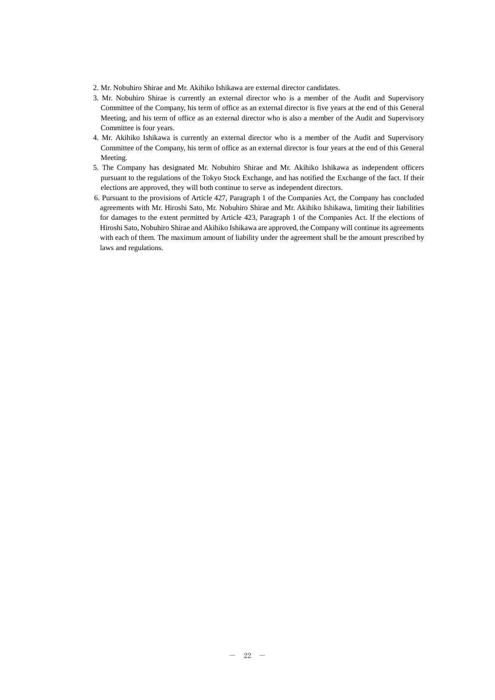- 2. Mr. Nobuhiro Shirae and Mr. Akihiko Ishikawa are external director candidates.
- 3. Mr. Nobuhiro Shirae is currently an external director who is a member of the Audit and Supervisory Committee of the Company, his term of office as an external director is five years at the end of this General Meeting, and his term of office as an external director who is also a member of the Audit and Supervisory Committee is four years.
- 4. Mr. Akihiko Ishikawa is currently an external director who is a member of the Audit and Supervisory Committee of the Company, his term of office as an external director is four years at the end of this General Meeting.
- 5. The Company has designated Mr. Nobuhiro Shirae and Mr. Akihiko Ishikawa as independent officers pursuant to the regulations of the Tokyo Stock Exchange, and has notified the Exchange of the fact. If their elections are approved, they will both continue to serve as independent directors.
- 6. Pursuant to the provisions of Article 427, Paragraph 1 of the Companies Act, the Company has concluded agreements with Mr. Hiroshi Sato, Mr. Nobuhiro Shirae and Mr. Akihiko Ishikawa, limiting their liabilities for damages to the extent permitted by Article 423, Paragraph 1 of the Companies Act. If the elections of Hiroshi Sato, Nobuhiro Shirae and Akihiko Ishikawa are approved, the Company will continue its agreements with each of them. The maximum amount of liability under the agreement shall be the amount prescribed by laws and regulations.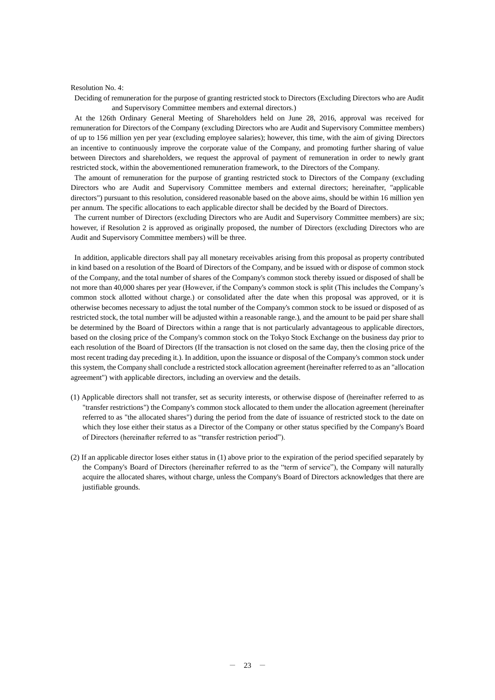#### Resolution No. 4:

Deciding of remuneration for the purpose of granting restricted stock to Directors (Excluding Directors who are Audit and Supervisory Committee members and external directors.)

At the 126th Ordinary General Meeting of Shareholders held on June 28, 2016, approval was received for remuneration for Directors of the Company (excluding Directors who are Audit and Supervisory Committee members) of up to 156 million yen per year (excluding employee salaries); however, this time, with the aim of giving Directors an incentive to continuously improve the corporate value of the Company, and promoting further sharing of value between Directors and shareholders, we request the approval of payment of remuneration in order to newly grant restricted stock, within the abovementioned remuneration framework, to the Directors of the Company.

The amount of remuneration for the purpose of granting restricted stock to Directors of the Company (excluding Directors who are Audit and Supervisory Committee members and external directors; hereinafter, "applicable directors") pursuant to this resolution, considered reasonable based on the above aims, should be within 16 million yen per annum. The specific allocations to each applicable director shall be decided by the Board of Directors.

The current number of Directors (excluding Directors who are Audit and Supervisory Committee members) are six; however, if Resolution 2 is approved as originally proposed, the number of Directors (excluding Directors who are Audit and Supervisory Committee members) will be three.

In addition, applicable directors shall pay all monetary receivables arising from this proposal as property contributed in kind based on a resolution of the Board of Directors of the Company, and be issued with or dispose of common stock of the Company, and the total number of shares of the Company's common stock thereby issued or disposed of shall be not more than 40,000 shares per year (However, if the Company's common stock is split (This includes the Company's common stock allotted without charge.) or consolidated after the date when this proposal was approved, or it is otherwise becomes necessary to adjust the total number of the Company's common stock to be issued or disposed of as restricted stock, the total number will be adjusted within a reasonable range.), and the amount to be paid per share shall be determined by the Board of Directors within a range that is not particularly advantageous to applicable directors, based on the closing price of the Company's common stock on the Tokyo Stock Exchange on the business day prior to each resolution of the Board of Directors (If the transaction is not closed on the same day, then the closing price of the most recent trading day preceding it.). In addition, upon the issuance or disposal of the Company's common stock under this system, the Company shall conclude a restricted stock allocation agreement (hereinafter referred to as an "allocation agreement") with applicable directors, including an overview and the details.

- (1) Applicable directors shall not transfer, set as security interests, or otherwise dispose of (hereinafter referred to as "transfer restrictions") the Company's common stock allocated to them under the allocation agreement (hereinafter referred to as "the allocated shares") during the period from the date of issuance of restricted stock to the date on which they lose either their status as a Director of the Company or other status specified by the Company's Board of Directors (hereinafter referred to as "transfer restriction period").
- (2) If an applicable director loses either status in (1) above prior to the expiration of the period specified separately by the Company's Board of Directors (hereinafter referred to as the "term of service"), the Company will naturally acquire the allocated shares, without charge, unless the Company's Board of Directors acknowledges that there are justifiable grounds.